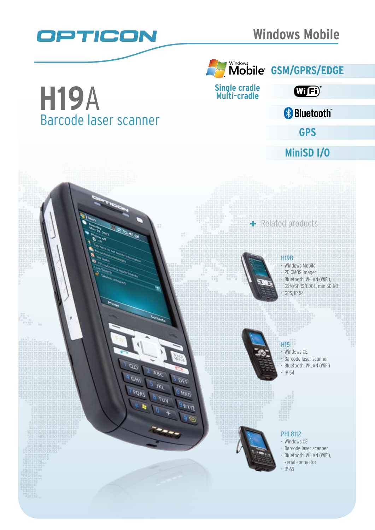